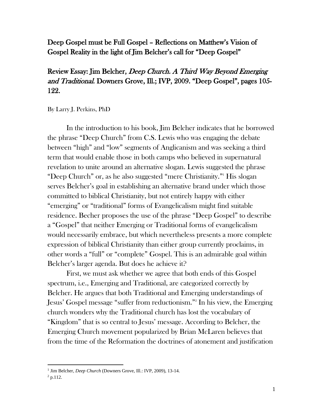## Deep Gospel must be Full Gospel – Reflections on Matthew's Vision of Gospel Reality in the light of Jim Belcher's call for "Deep Gospel"

# Review Essay: Jim Belcher, Deep Church. A Third Way Beyond Emerging and Traditional. Downers Grove, Ill.; IVP, 2009. "Deep Gospel", pages 105- 122.

By Larry J. Perkins, PhD

In the introduction to his book, Jim Belcher indicates that he borrowed the phrase "Deep Church" from C.S. Lewis who was engaging the debate between "high" and "low" segments of Anglicanism and was seeking a third term that would enable those in both camps who believed in supernatural revelation to unite around an alternative slogan. Lewis suggested the phrase "Deep Church" or, as he also suggested "mere Christianity."<sup>1</sup> His slogan serves Belcher's goal in establishing an alternative brand under which those committed to biblical Christianity, but not entirely happy with either "emerging" or "traditional" forms of Evangelicalism might find suitable residence. Becher proposes the use of the phrase "Deep Gospel" to describe a "Gospel" that neither Emerging or Traditional forms of evangelicalism would necessarily embrace, but which nevertheless presents a more complete expression of biblical Christianity than either group currently proclaims, in other words a "full" or "complete" Gospel. This is an admirable goal within Belcher's larger agenda. But does he achieve it?

First, we must ask whether we agree that both ends of this Gospel spectrum, i.e., Emerging and Traditional, are categorized correctly by Belcher. He argues that both Traditional and Emerging understandings of Jesus' Gospel message "suffer from reductionism."<sup>2</sup> In his view, the Emerging church wonders why the Traditional church has lost the vocabulary of "Kingdom" that is so central to Jesus' message. According to Belcher, the Emerging Church movement popularized by Brian McLaren believes that from the time of the Reformation the doctrines of atonement and justification

<sup>&</sup>lt;sup>1</sup> Jim Belcher, *Deep Church* (Downers Grove, Ill.: IVP, 2009), 13-14.

 $^{2}$  p.112.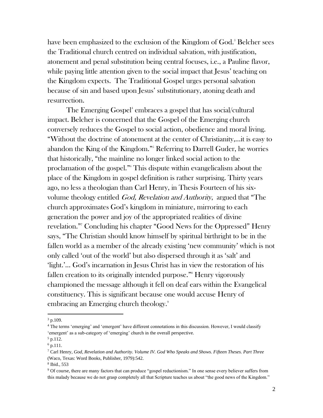have been emphasized to the exclusion of the Kingdom of God.<sup>3</sup> Belcher sees the Traditional church centred on individual salvation, with justification, atonement and penal substitution being central focuses, i.e., a Pauline flavor, while paying little attention given to the social impact that Jesus' teaching on the Kingdom expects. The Traditional Gospel urges personal salvation because of sin and based upon Jesus' substitutionary, atoning death and resurrection.

The Emerging Gospel<sup>4</sup> embraces a gospel that has social/cultural impact. Belcher is concerned that the Gospel of the Emerging church conversely reduces the Gospel to social action, obedience and moral living. "Without the doctrine of atonement at the center of Christianity,…it is easy to abandon the King of the Kingdom."<sup>5</sup> Referring to Darrell Guder, he worries that historically, "the mainline no longer linked social action to the proclamation of the gospel."<sup>6</sup> This dispute within evangelicalism about the place of the Kingdom in gospel definition is rather surprising. Thirty years ago, no less a theologian than Carl Henry, in Thesis Fourteen of his sixvolume theology entitled *God, Revelation and Authority*, argued that "The church approximates God's kingdom in miniature, mirroring to each generation the power and joy of the appropriated realities of divine revelation."<sup>7</sup> Concluding his chapter "Good News for the Oppressed" Henry says, "The Christian should know himself by spiritual birthright to be in the fallen world as a member of the already existing 'new community' which is not only called 'out of the world' but also dispersed through it as 'salt' and 'light.'… God's incarnation in Jesus Christ has in view the restoration of his fallen creation to its originally intended purpose."<sup>8</sup> Henry vigorously championed the message although it fell on deaf ears within the Evangelical constituency. This is significant because one would accuse Henry of embracing an Emerging church theology. 9

 $3$  p.109.

<sup>4</sup> The terms 'emerging' and 'emergent' have different connotations in this discussion. However, I would classify 'emergent' as a sub-category of 'emerging' church in the overall perspective.

 $5$  p.112.

 $6$  p.111.

<sup>7</sup> Carl Henry, *God, Revelation and Authority. Volume IV. God Who Speaks and Shows. Fifteen Theses. Part Three* (Waco, Texas: Word Books, Publisher, 1979):542.

<sup>8</sup> Ibid., 553

<sup>9</sup> Of course, there are many factors that can produce "gospel reductionism." In one sense every believer suffers from this malady because we do not grasp completely all that Scripture teaches us about "the good news of the Kingdom."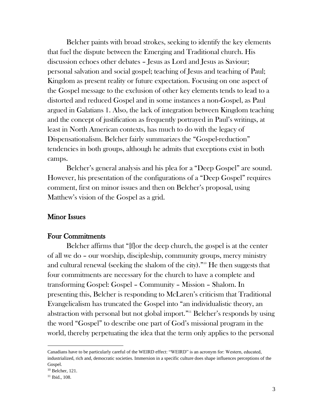Belcher paints with broad strokes, seeking to identify the key elements that fuel the dispute between the Emerging and Traditional church. His discussion echoes other debates – Jesus as Lord and Jesus as Saviour; personal salvation and social gospel; teaching of Jesus and teaching of Paul; Kingdom as present reality or future expectation. Focusing on one aspect of the Gospel message to the exclusion of other key elements tends to lead to a distorted and reduced Gospel and in some instances a non-Gospel, as Paul argued in Galatians 1. Also, the lack of integration between Kingdom teaching and the concept of justification as frequently portrayed in Paul's writings, at least in North American contexts, has much to do with the legacy of Dispensationalism. Belcher fairly summarizes the "Gospel-reduction" tendencies in both groups, although he admits that exceptions exist in both camps.

Belcher's general analysis and his plea for a "Deep Gospel" are sound. However, his presentation of the configurations of a "Deep Gospel" requires comment, first on minor issues and then on Belcher's proposal, using Matthew's vision of the Gospel as a grid.

### Minor Issues

#### Four Commitments

Belcher affirms that "[f]or the deep church, the gospel is at the center of all we do – our worship, discipleship, community groups, mercy ministry and cultural renewal (seeking the shalom of the city)."<sup>10</sup> He then suggests that four commitments are necessary for the church to have a complete and transforming Gospel: Gospel – Community – Mission – Shalom. In presenting this, Belcher is responding to McLaren's criticism that Traditional Evangelicalism has truncated the Gospel into "an individualistic theory, an abstraction with personal but not global import."<sup>11</sup> Belcher's responds by using the word "Gospel" to describe one part of God's missional program in the world, thereby perpetuating the idea that the term only applies to the personal

Canadians have to be particularly careful of the WEIRD effect: "WEIRD" is an acronym for: Western, educated, industrialized, rich and, democratic societies. Immersion in a specific culture does shape influences perceptions of the Gospel.

<sup>10</sup> Belcher, 121.

<sup>11</sup> Ibid., 108.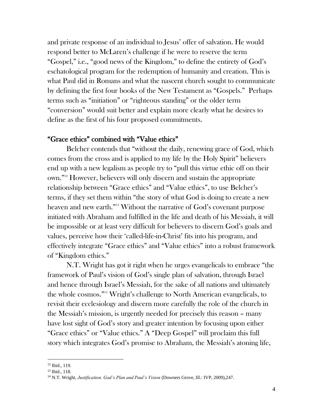and private response of an individual to Jesus' offer of salvation. He would respond better to McLaren's challenge if he were to reserve the term "Gospel," i.e., "good news of the Kingdom," to define the entirety of God's eschatological program for the redemption of humanity and creation. This is what Paul did in Romans and what the nascent church sought to communicate by defining the first four books of the New Testament as "Gospels." Perhaps terms such as "initiation" or "righteous standing" or the older term "conversion" would suit better and explain more clearly what he desires to define as the first of his four proposed commitments.

### "Grace ethics" combined with "Value ethics"

Belcher contends that "without the daily, renewing grace of God, which comes from the cross and is applied to my life by the Holy Spirit" believers end up with a new legalism as people try to "pull this virtue ethic off on their own."<sup>12</sup> However, believers will only discern and sustain the appropriate relationship between "Grace ethics" and "Value ethics", to use Belcher's terms, if they set them within "the story of what God is doing to create a new heaven and new earth."<sup>13</sup> Without the narrative of God's covenant purpose initiated with Abraham and fulfilled in the life and death of his Messiah, it will be impossible or at least very difficult for believers to discern God's goals and values, perceive how their 'called-life-in-Christ' fits into his program, and effectively integrate "Grace ethics" and "Value ethics" into a robust framework of "Kingdom ethics."

N.T. Wright has got it right when he urges evangelicals to embrace "the framework of Paul's vision of God's single plan of salvation, through Israel and hence through Israel's Messiah, for the sake of all nations and ultimately the whole cosmos."<sup>14</sup> Wright's challenge to North American evangelicals, to revisit their ecclesiology and discern more carefully the role of the church in the Messiah's mission, is urgently needed for precisely this reason – many have lost sight of God's story and greater intention by focusing upon either "Grace ethics" or "Value ethics." A "Deep Gospel" will proclaim this full story which integrates God's promise to Abraham, the Messiah's atoning life,

<sup>12</sup> Ibid., 119.

<sup>13</sup> Ibid., 118.

<sup>14</sup> N.T. Wright, *Justification. God's Plan and Paul's Vision* (Downers Grove, Ill.: IVP, 2009),247.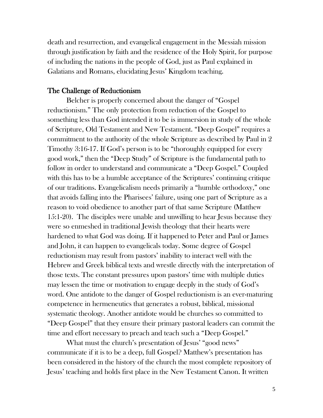death and resurrection, and evangelical engagement in the Messiah mission through justification by faith and the residence of the Holy Spirit, for purpose of including the nations in the people of God, just as Paul explained in Galatians and Romans, elucidating Jesus' Kingdom teaching.

#### The Challenge of Reductionism

Belcher is properly concerned about the danger of "Gospel reductionism." The only protection from reduction of the Gospel to something less than God intended it to be is immersion in study of the whole of Scripture, Old Testament and New Testament. "Deep Gospel" requires a commitment to the authority of the whole Scripture as described by Paul in 2 Timothy 3:16-17. If God's person is to be "thoroughly equipped for every good work," then the "Deep Study" of Scripture is the fundamental path to follow in order to understand and communicate a "Deep Gospel." Coupled with this has to be a humble acceptance of the Scriptures' continuing critique of our traditions. Evangelicalism needs primarily a "humble orthodoxy," one that avoids falling into the Pharisees' failure, using one part of Scripture as a reason to void obedience to another part of that same Scripture (Matthew 15:1-20). The disciples were unable and unwilling to hear Jesus because they were so enmeshed in traditional Jewish theology that their hearts were hardened to what God was doing. If it happened to Peter and Paul or James and John, it can happen to evangelicals today. Some degree of Gospel reductionism may result from pastors' inability to interact well with the Hebrew and Greek biblical texts and wrestle directly with the interpretation of those texts. The constant pressures upon pastors' time with multiple duties may lessen the time or motivation to engage deeply in the study of God's word. One antidote to the danger of Gospel reductionism is an ever-maturing competence in hermeneutics that generates a robust, biblical, missional systematic theology. Another antidote would be churches so committed to "Deep Gospel" that they ensure their primary pastoral leaders can commit the time and effort necessary to preach and teach such a "Deep Gospel."

What must the church's presentation of Jesus' "good news" communicate if it is to be a deep, full Gospel? Matthew's presentation has been considered in the history of the church the most complete repository of Jesus' teaching and holds first place in the New Testament Canon. It written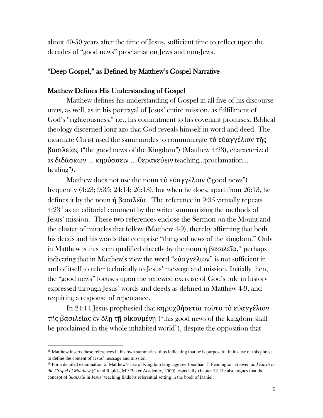about 40-50 years after the time of Jesus, sufficient time to reflect upon the decades of "good news" proclamation Jews and non-Jews.

## "Deep Gospel," as Defined by Matthew's Gospel Narrative

### Matthew Defines His Understanding of Gospel

Matthew defines his understanding of Gospel in all five of his discourse units, as well, as in his portrayal of Jesus' entire mission, as fulfillment of God's "righteousness," i.e., his commitment to his covenant promises. Biblical theology discerned long ago that God reveals himself in word and deed. The incarnate Christ used the same modes to communicate τὸ εὐαγγέλιον τῆς βασιλείας ("the good news of the Kingdom") (Matthew 4:23), characterized as διδάσκων ... κηρύσσειν ... θεραπεύειν teaching…proclamation… healing").

Matthew does not use the noun τὸ εὐαγγέλιον ("good news") frequently (4:23; 9:35; 24:14; 26:13), but when he does, apart from 26:13, he defines it by the noun ἡ βασιλεῖα. The reference in 9:35 virtually repeats  $4:23<sup>15</sup>$  as an editorial comment by the writer summarizing the methods of Jesus' mission. These two references enclose the Sermon on the Mount and the cluster of miracles that follow (Matthew 4-9), thereby affirming that both his deeds and his words that comprise "the good news of the kingdom." Only in Matthew is this term qualified directly by the noun ή βασιλεῖα,<sup>16</sup> perhaps indicating that in Matthew's view the word "εὐαγγέλιον" is not sufficient in and of itself to refer technically to Jesus' message and mission. Initially then, the "good news" focuses upon the renewed exercise of God's rule in history expressed through Jesus' words and deeds as defined in Matthew 4-9, and requiring a response of repentance.

In 24:14 Jesus prophesied that κηρυχθήσεται τοῦτο τὸ εὐαγγέλιον τῆς βασιλείας ἐν ὅλῃ τῇ οἰκουμένῃ ("this good news of the kingdom shall be proclaimed in the whole inhabited world"), despite the opposition that

<sup>&</sup>lt;sup>15</sup> Matthew inserts these references in his own summaries, thus indicating that he is purposeful in his use of this phrase to define the content of Jesus' message and mission.

<sup>16</sup> For a detailed examination of Matthew's use of Kingdom language see Jonathan T. Pennington, *Heaven and Earth in the Gospel of Matthew* (Grand Rapids, MI: Baker Academic, 2009), especially chapter 12. He also argues that the concept of βασιλεία in Jesus' teaching finds its referential setting in the book of Daniel.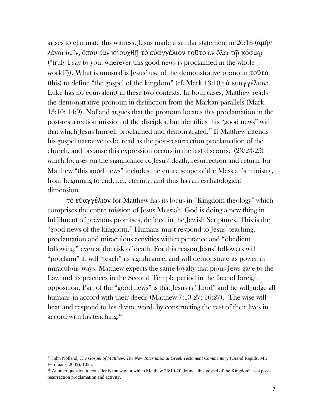arises to eliminate this witness. Jesus made a similar statement in 26:13 (ἀμὴν λέγω ὑμῖν, ὅπου ἐὰν κηρυχθῇ τὸ εὐαγγέλιον τοῦτο ἐν ὅλῳ τῷ κόσμῳ ("truly I say to you, wherever this good news is proclaimed in the whole world")). What is unusual is Jesus' use of the demonstrative pronoun τοῦτο (this) to define "the gospel of the kingdom" (cf. Mark 13:10 τὸ εὐαγγέλιον; Luke has no equivalent) in these two contexts. In both cases, Matthew reads the demonstrative pronoun in distinction from the Markan parallels (Mark 13:10; 14:9). Nolland argues that the pronoun locates this proclamation in the post-resurrection mission of the disciples, but identifies this "good news" with that which Jesus himself proclaimed and demonstrated.<sup>17</sup> If Matthew intends his gospel narrative to be read as the post-resurrection proclamation of the church, and because this expression occurs in the last discourse (23/24-25) which focuses on the significance of Jesus' death, resurrection and return, for Matthew "this goοd news" includes the entire scope of the Messiah's ministry, from beginning to end, i.e., eternity, and thus has an eschatological dimension.

τὸ εὐαγγέλιον for Matthew has its locus in "Kingdom theology" which comprises the entire mission of Jesus Messiah. God is doing a new thing in fulfillment of previous promises, defined in the Jewish Scriptures. This is the "good news of the kingdom." Humans must respond to Jesus' teaching, proclamation and miraculous activities with repentance and "obedient following," even at the risk of death. For this reason Jesus' followers will "proclaim" it, will "teach" its significance, and will demonstrate its power in miraculous ways. Matthew expects the same loyalty that pious Jews gave to the Law and its practices in the Second Temple period in the face of foreign opposition. Part of the "good news" is that Jesus is "Lord" and he will judge all humans in accord with their deeds (Matthew 7:13-27; 16:27). The wise will hear and respond to his divine word, by constructing the rest of their lives in accord with his teaching.<sup>18</sup>

<sup>17</sup> John Nolland, *The Gospel of Matthew. The New International Greek Testament Commentary* (Grand Rapids, MI: Eerdmans, 2005), 1055.

<sup>&</sup>lt;sup>18</sup> Another question to consider is the way in which Matthew 28:19-20 define "this gospel of the Kingdom" as a postresurrection proclamation and activity.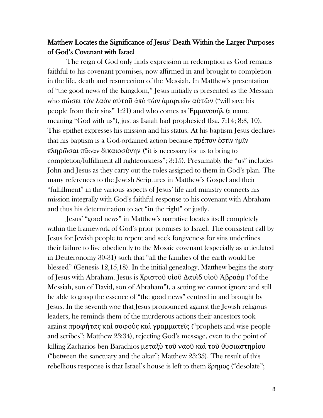## Matthew Locates the Significance of Jesus' Death Within the Larger Purposes of God's Covenant with Israel

The reign of God only finds expression in redemption as God remains faithful to his covenant promises, now affirmed in and brought to completion in the life, death and resurrection of the Messiah. In Matthew's presentation of "the good news of the Kingdom," Jesus initially is presented as the Messiah who σώσει τὸν λαὸν αύτοῦ ἀπὸ τὼν ἁμαρτιῶν αύτῶν ("will save his people from their sins" 1:21) and who comes as Έμμανουήλ (a name meaning "God with us"), just as Isaiah had prophesied (Isa. 7:14; 8:8, 10). This epithet expresses his mission and his status. At his baptism Jesus declares that his baptism is a God-ordained action because πρέπον ἐστὶν ἡμῖν πληρῶσαι πᾶσαν δικαιοσύνην ("it is necessary for us to bring to completion/fulfillment all righteousness"; 3:15). Presumably the "us" includes John and Jesus as they carry out the roles assigned to them in God's plan. The many references to the Jewish Scriptures in Matthew's Gospel and their "fulfillment" in the various aspects of Jesus' life and ministry connects his mission integrally with God's faithful response to his covenant with Abraham and thus his determination to act "in the right" or justly.

Jesus' "good news" in Matthew's narrative locates itself completely within the framework of God's prior promises to Israel. The consistent call by Jesus for Jewish people to repent and seek forgiveness for sins underlines their failure to live obediently to the Mosaic covenant (especially as articulated in Deuteronomy 30-31) such that "all the families of the earth would be blessed" (Genesis 12,15,18). In the initial genealogy, Matthew begins the story of Jesus with Abraham. Jesus is Χριστοῦ υἱοῦ Δαυὶδ υἱοῦ Ἀβραάμ ("of the Messiah, son of David, son of Abraham"), a setting we cannot ignore and still be able to grasp the essence of "the good news" centred in and brought by Jesus. In the seventh woe that Jesus pronounced against the Jewish religious leaders, he reminds them of the murderous actions their ancestors took against προφήτας καὶ σοφοὺς καὶ γραμματεῖς ("prophets and wise people and scribes"; Matthew 23:34), rejecting God's message, even to the point of killing Zacharios ben Barachios μεταξὺ τοῦ ναοῦ καὶ τοῦ θυσιαστηρίου ("between the sanctuary and the altar"; Matthew 23:35). The result of this rebellious response is that Israel's house is left to them ἔρημος ("desolate";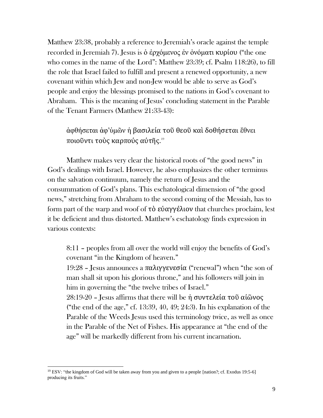Matthew 23:38, probably a reference to Jeremiah's oracle against the temple recorded in Jeremiah 7). Jesus is ὁ ἐρχόμενος ἐν ὀνόματι κυρίου ("the one who comes in the name of the Lord": Matthew 23:39; cf. Psalm 118:26), to fill the role that Israel failed to fulfill and present a renewed opportunity, a new covenant within which Jew and non-Jew would be able to serve as God's people and enjoy the blessings promised to the nations in God's covenant to Abraham. This is the meaning of Jesus' concluding statement in the Parable of the Tenant Farmers (Matthew 21:33-43):

ἀφθήσεται ἀφ'ὑμῶν ἡ βασιλεία τοῦ θεοῦ καὶ δοθήσεται ἔθνει ποιοῦντι τοὺς καρποὐς αὐτῆς. 19

Matthew makes very clear the historical roots of "the good news" in God's dealings with Israel. However, he also emphasizes the other terminus on the salvation continuum, namely the return of Jesus and the consummation of God's plans. This eschatological dimension of "the good news," stretching from Abraham to the second coming of the Messiah, has to form part of the warp and woof of τὸ εὐαγγέλιον that churches proclaim, lest it be deficient and thus distorted. Matthew's eschatology finds expression in various contexts:

8:11 – peoples from all over the world will enjoy the benefits of God's covenant "in the Kingdom of heaven."

19:28 – Jesus announces a παλιγγενεσία ("renewal") when "the son of man shall sit upon his glorious throne," and his followers will join in him in governing the "the twelve tribes of Israel."

28:19-20 – Jesus affirms that there will be ἡ συντελεία τοῦ αἰῶνος ("the end of the age," cf.  $13:39, 40, 49; 24:3$ ). In his explanation of the Parable of the Weeds Jesus used this terminology twice, as well as once in the Parable of the Net of Fishes. His appearance at "the end of the age" will be markedly different from his current incarnation.

<sup>&</sup>lt;sup>19</sup> ESV: "the kingdom of God will be taken away from you and given to a people [nation?; cf. Exodus 19:5-6] producing its fruits."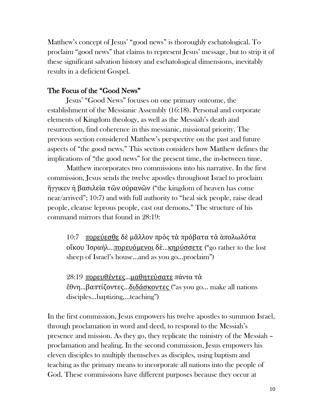Matthew's concept of Jesus' "good news" is thoroughly eschatological. To proclaim "good news" that claims to represent Jesus' message, but to strip it of these significant salvation history and eschatological dimensions, inevitably results in a deficient Gospel.

### The Focus of the "Good News"

Jesus' "Good News" focuses on one primary outcome, the establishment of the Messianic Assembly (16:18). Personal and corporate elements of Kingdom theology, as well as the Messiah's death and resurrection, find coherence in this messianic, missional priority. The previous section considered Matthew's perspective on the past and future aspects of "the good news." This section considers how Matthew defines the implications of "the good news" for the present time, the in-between time.

Matthew incorporates two commissions into his narrative. In the first commission, Jesus sends the twelve apostles throughout Israel to proclaim ἤγγικεν ἡ βασιλεία τῶν οὐρανῶν ("the kingdom of heaven has come near/arrived"; 10:7) and with full authority to "heal sick people, raise dead people, cleanse leprous people, cast out demons." The structure of his command mirrors that found in 28:19:

10:7 πορεύεσθε δὲ μᾶλλον πρὸς τὰ πρόβατα τὰ ἀπολωλότα οἴκου Ἰσραήλ...πορευόμενοι δὲ...κηρύσσετε ("go rather to the lost sheep of Israel's house…and as you go…proclaim")

28:19 πορευθέντες...μαθητεύσατε πάντα τὰ ἔθνη...βαπτίζοντες...διδάσκοντες ("as you go… make all nations disciples…baptizing,…teaching")

In the first commission, Jesus empowers his twelve apostles to summon Israel, through proclamation in word and deed, to respond to the Messiah's presence and mission. As they go, they replicate the ministry of the Messiah – proclamation and healing. In the second commission, Jesus empowers his eleven disciples to multiply themselves as disciples, using baptism and teaching as the primary means to incorporate all nations into the people of God. These commissions have different purposes because they occur at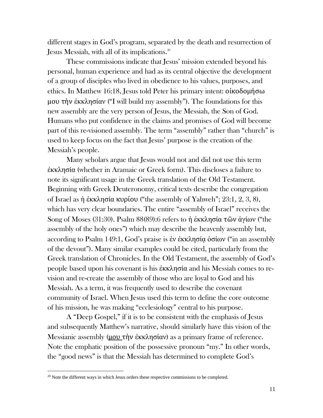different stages in God's program, separated by the death and resurrection of Jesus Messiah, with all of its implications.<sup>20</sup>

These commissions indicate that Jesus' mission extended beyond his personal, human experience and had as its central objective the development of a group of disciples who lived in obedience to his values, purposes, and ethics. In Matthew 16:18, Jesus told Peter his primary intent: οἰκοδομήσω μου τὴν ἐκκλησίαν ("I will build my assembly"). The foundations for this new assembly are the very person of Jesus, the Messiah, the Son of God. Humans who put confidence in the claims and promises of God will become part of this re-visioned assembly. The term "assembly" rather than "church" is used to keep focus on the fact that Jesus' purpose is the creation of the Messiah's people.

Many scholars argue that Jesus would not and did not use this term ἐκκλησία (whether in Aramaic or Greek form). This discloses a failure to note its significant usage in the Greek translation of the Old Testament. Beginning with Greek Deuteronomy, critical texts describe the congregation of Israel as ἡ ἐκκλησία κυρίου ("the assembly of Yahweh"; 23:1, 2, 3, 8), which has very clear boundaries. The entire "assembly of Israel" receives the Song of Moses (31:30). Psalm 88(89):6 refers to ἡ ἐκκλησία τῶν ἁγίων ("the assembly of the holy ones") which may describe the heavenly assembly but, according to Psalm 149:1, God's praise is ἐν ἐκκλησίᾳ ὁσίων ("in an assembly of the devout"). Many similar examples could be cited, particularly from the Greek translation of Chronicles. In the Old Testament, the assembly of God's people based upon his covenant is his ἐκκλησία and his Messiah comes to revision and re-create the assembly of those who are loyal to God and his Messiah. As a term, it was frequently used to describe the covenant community of Israel. When Jesus used this term to define the core outcome of his mission, he was making "ecclesiology" central to his purpose.

A "Deep Gospel," if it is to be consistent with the emphasis of Jesus and subsequently Matthew's narrative, should similarly have this vision of the Messianic assembly (μου τὴν ἐκκλησίαν) as a primary frame of reference. Note the emphatic position of the possessive pronoun "my." In other words, the "good news" is that the Messiah has determined to complete God's

 $20$  Note the different ways in which Jesus orders these respective commissions to be completed.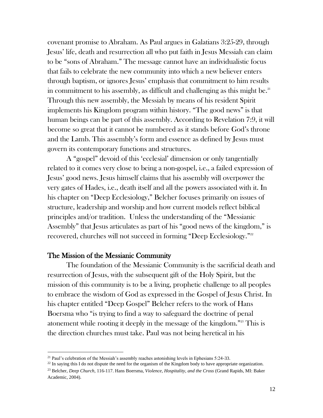covenant promise to Abraham. As Paul argues in Galatians 3:25-29, through Jesus' life, death and resurrection all who put faith in Jesus Messiah can claim to be "sons of Abraham." The message cannot have an individualistic focus that fails to celebrate the new community into which a new believer enters through baptism, or ignores Jesus' emphasis that commitment to him results in commitment to his assembly, as difficult and challenging as this might be. $2<sup>11</sup>$ Through this new assembly, the Messiah by means of his resident Spirit implements his Kingdom program within history. "The good news" is that human beings can be part of this assembly. According to Revelation 7:9, it will become so great that it cannot be numbered as it stands before God's throne and the Lamb. This assembly's form and essence as defined by Jesus must govern its contemporary functions and structures.

A "gospel" devoid of this 'ecclesial' dimension or only tangentially related to it comes very close to being a non-gospel, i.e., a failed expression of Jesus' good news. Jesus himself claims that his assembly will overpower the very gates of Hades, i.e., death itself and all the powers associated with it. In his chapter on "Deep Ecclesiology," Belcher focuses primarily on issues of structure, leadership and worship and how current models reflect biblical principles and/or tradition. Unless the understanding of the "Messianic Assembly" that Jesus articulates as part of his "good news of the kingdom," is recovered, churches will not succeed in forming "Deep Ecclesiology."<sup>22</sup>

#### The Mission of the Messianic Community

The foundation of the Messianic Community is the sacrificial death and resurrection of Jesus, with the subsequent gift of the Holy Spirit, but the mission of this community is to be a living, prophetic challenge to all peoples to embrace the wisdom of God as expressed in the Gospel of Jesus Christ. In his chapter entitled "Deep Gospel" Belcher refers to the work of Hans Boersma who "is trying to find a way to safeguard the doctrine of penal atonement while rooting it deeply in the message of the kingdom."<sup>23</sup> This is the direction churches must take. Paul was not being heretical in his

 $21$  Paul's celebration of the Messiah's assembly reaches astonishing levels in Ephesians 5:24-33.

 $^{22}$  In saying this I do not dispute the need for the organism of the Kingdom body to have appropriate organization.

<sup>23</sup> Belcher, *Deep Church,* 116-117. Hans Boersma, *Violence, Hospitality, and the Cross* (Grand Rapids, MI: Baker Academic, 2004).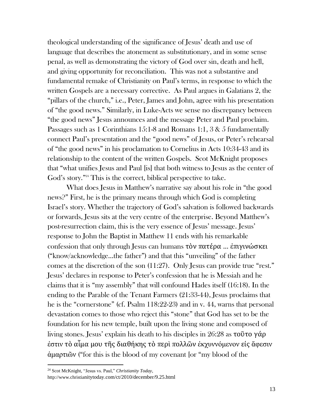theological understanding of the significance of Jesus' death and use of language that describes the atonement as substitutionary, and in some sense penal, as well as demonstrating the victory of God over sin, death and hell, and giving opportunity for reconciliation. This was not a substantive and fundamental remake of Christianity on Paul's terms, in response to which the written Gospels are a necessary corrective. As Paul argues in Galatians 2, the "pillars of the church," i.e., Peter, James and John, agree with his presentation of "the good news." Similarly, in Luke-Acts we sense no discrepancy between "the good news" Jesus announces and the message Peter and Paul proclaim. Passages such as 1 Corinthians 15:1-8 and Romans 1:1, 3 & 5 fundamentally connect Paul's presentation and the "good news" of Jesus, or Peter's rehearsal of "the good news" in his proclamation to Cornelius in Acts 10:34-43 and its relationship to the content of the written Gospels. Scot McKnight proposes that "what unifies Jesus and Paul [is] that both witness to Jesus as the center of God's story."<sup>24</sup> This is the correct, biblical perspective to take.

What does Jesus in Matthew's narrative say about his role in "the good news?" First, he is the primary means through which God is completing Israel's story. Whether the trajectory of God's salvation is followed backwards or forwards, Jesus sits at the very centre of the enterprise. Beyond Matthew's post-resurrection claim, this is the very essence of Jesus' message. Jesus' response to John the Baptist in Matthew 11 ends with his remarkable confession that only through Jesus can humans τὸν πατέρα ... ἐπιγινώσκει ("know/acknowledge…the father") and that this "unveiling" of the father comes at the discretion of the son (11:27). Only Jesus can provide true "rest." Jesus' declares in response to Peter's confession that he is Messiah and he claims that it is "my assembly" that will confound Hades itself (16:18). In the ending to the Parable of the Tenant Farmers (21:33-44), Jesus proclaims that he is the "cornerstone" (cf. Psalm 118:22-23) and in v. 44, warns that personal devastation comes to those who reject this "stone" that God has set to be the foundation for his new temple, built upon the living stone and composed of living stones. Jesus' explain his death to his disciples in 26:28 as τοῦτο γάρ ἐστιν τὸ αἷμα μου τῆς διαθήκης τὸ περὶ πολλῶν ἐκχυννόμενον εἰς ἄφεσιν ἁμαρτιῶν ("for this is the blood of my covenant [or "my blood of the

<sup>24</sup> Scot McKnight, "Jesus vs. Paul," *Christianity Today*,

http://www.christianitytoday.com/ct/2010/december/9.25.html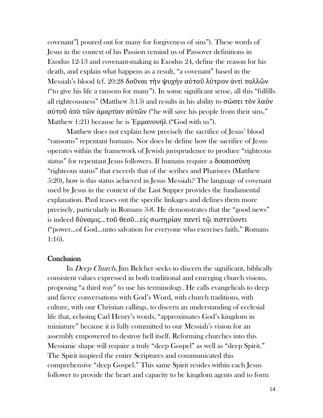covenant"] poured out for many for forgiveness of sins"). These words of Jesus in the context of his Passion remind us of Passover definitions in Exodus 12-13 and covenant-making in Exodus 24, define the reason for his death, and explain what happens as a result, "a covenant" based in the Messiah's blood (cf. 20:28 δοῦναι τὴν ψυχὴν αὐτοῦ λύτρον ἀντὶ πολλῶν ("to give his life a ransom for many"). In some significant sense, all this "fulfills all righteousness" (Matthew 3:15) and results in his ability to σώσει τὸν λαὸν αὐτοῦ ἀπὸ τῶν ἁμαρτίαν αὐτῶν ("he will save his people from their sins," Matthew 1:21) because he is Ἐμμανουήλ ("God with us").

Matthew does not explain how precisely the sacrifice of Jesus' blood "ransoms" repentant humans. Nor does he define how the sacrifice of Jesus operates within the framework of Jewish jurisprudence to produce "righteous status" for repentant Jesus followers. If humans require a δικαιοσύνη "righteous status" that exceeds that of the scribes and Pharisees (Matthew 5:20), how is this status achieved in Jesus Messiah? The language of covenant used by Jesus in the context of the Last Supper provides the fundamental explanation. Paul teases out the specific linkages and defines them more precisely, particularly in Romans 3-8. He demonstrates that the "good news" is indeed δύναμις...τοῦ θεοῦ...εἰς σωτηρίαν παντὶ τῷ πιστεύοντι ("power…of God…unto salvation for everyone who exercises faith," Romans 1:16).

#### **Conclusion**

In Deep Church, Jim Belcher seeks to discern the significant, biblically consistent values expressed in both traditional and emerging church visions, proposing "a third way" to use his terminology. He calls evangelicals to deep and fierce conversations with God's Word, with church traditions, with culture, with our Christian callings, to discern an understanding of ecclesial life that, echoing Carl Henry's words, "approximates God's kingdom in miniature" because it is fully committed to our Messiah's vision for an assembly empowered to destroy hell itself. Reforming churches into this Messianic shape will require a truly "deep Gospel" as well as "deep Spirit." The Spirit inspired the entire Scriptures and communicated this comprehensive "deep Gospel." This same Spirit resides within each Jesus follower to provide the heart and capacity to be kingdom agents and to form